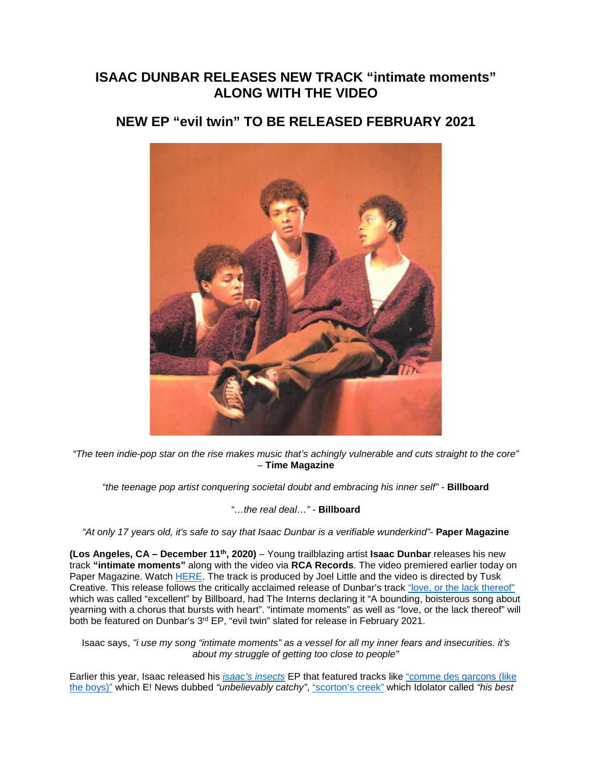# **ISAAC DUNBAR RELEASES NEW TRACK "intimate moments" ALONG WITH THE VIDEO**

# **NEW EP "evil twin" TO BE RELEASED FEBRUARY 2021**



*"The teen indie-pop star on the rise makes music that's achingly vulnerable and cuts straight to the core"* – **Time Magazine**

*"the teenage pop artist conquering societal doubt and embracing his inner self" -* **Billboard**

#### *"…the real deal…"* - **Billboard**

*"At only 17 years old, it's safe to say that Isaac Dunbar is a verifiable wunderkind"-* **Paper Magazine**

**(Los Angeles, CA – December 11th, 2020)** – Young trailblazing artist **Isaac Dunbar** releases his new track **"intimate moments"** along with the video via **RCA Records**. The video premiered earlier today on Paper Magazine. Watch [HERE.](https://eur01.safelinks.protection.outlook.com/?url=https%3A%2F%2Fsmarturl.it%2Fxintimatemomentsx%2Fyoutube&data=04%7C01%7Ckirsten.mikkelson%40rcarecords.com%7Ce391628a1eb34e6ea38108d89dee4f97%7Cf0aff3b791a54aaeaf71c63e1dda2049%7C0%7C0%7C637432994248439463%7CUnknown%7CTWFpbGZsb3d8eyJWIjoiMC4wLjAwMDAiLCJQIjoiV2luMzIiLCJBTiI6Ik1haWwiLCJXVCI6Mn0%3D%7C1000&sdata=SXR6fWJUiaX2SGnRJc4ge%2FedHz0UiVHy%2FTuiBf3nK9o%3D&reserved=0) The track is produced by Joel Little and the video is directed by Tusk Creative. This release follows the critically acclaimed release of Dunbar's track ["love, or the lack thereof"](https://eur01.safelinks.protection.outlook.com/?url=https%3A%2F%2Fsmarturl.it%2Fxlovex&data=04%7C01%7Ckirsten.mikkelson%40rcarecords.com%7Ce391628a1eb34e6ea38108d89dee4f97%7Cf0aff3b791a54aaeaf71c63e1dda2049%7C0%7C0%7C637432994248439463%7CUnknown%7CTWFpbGZsb3d8eyJWIjoiMC4wLjAwMDAiLCJQIjoiV2luMzIiLCJBTiI6Ik1haWwiLCJXVCI6Mn0%3D%7C1000&sdata=DMUqCstl0fgn1pNUHRwppgP%2FvRe%2FA55Tg7ongytfPts%3D&reserved=0) which was called "excellent" by Billboard, had The Interns declaring it "A bounding, boisterous song about yearning with a chorus that bursts with heart". "intimate moments" as well as "love, or the lack thereof" will both be featured on Dunbar's 3<sup>rd</sup> EP, "evil twin" slated for release in February 2021.

Isaac says, *"i use my song "intimate moments" as a vessel for all my inner fears and insecurities. it's about my struggle of getting too close to people"*

Earlier this year, Isaac released his *[isaac's insects](https://eur01.safelinks.protection.outlook.com/?url=https%3A%2F%2Fsmarturl.it%2FisaacsinsectsEPx&data=04%7C01%7Ckirsten.mikkelson%40rcarecords.com%7Ce391628a1eb34e6ea38108d89dee4f97%7Cf0aff3b791a54aaeaf71c63e1dda2049%7C0%7C0%7C637432994248449459%7CUnknown%7CTWFpbGZsb3d8eyJWIjoiMC4wLjAwMDAiLCJQIjoiV2luMzIiLCJBTiI6Ik1haWwiLCJXVCI6Mn0%3D%7C1000&sdata=Bz44cslbSy6V2Y3W2JUsUN3Ij4I98oOA4ZbPLhK1Mb8%3D&reserved=0)* EP that featured tracks like ["comme des garçons \(like](https://eur01.safelinks.protection.outlook.com/?url=https%3A%2F%2Fsmarturl.it%2Fcommedesgarconsx&data=04%7C01%7Ckirsten.mikkelson%40rcarecords.com%7Ce391628a1eb34e6ea38108d89dee4f97%7Cf0aff3b791a54aaeaf71c63e1dda2049%7C0%7C0%7C637432994248449459%7CUnknown%7CTWFpbGZsb3d8eyJWIjoiMC4wLjAwMDAiLCJQIjoiV2luMzIiLCJBTiI6Ik1haWwiLCJXVCI6Mn0%3D%7C1000&sdata=z%2BZ8t6b%2BAD4jJ%2FwRJYwYWiHnx6ou45IxsH8N50%2Bufzk%3D&reserved=0)  [the boys\)"](https://eur01.safelinks.protection.outlook.com/?url=https%3A%2F%2Fsmarturl.it%2Fcommedesgarconsx&data=04%7C01%7Ckirsten.mikkelson%40rcarecords.com%7Ce391628a1eb34e6ea38108d89dee4f97%7Cf0aff3b791a54aaeaf71c63e1dda2049%7C0%7C0%7C637432994248449459%7CUnknown%7CTWFpbGZsb3d8eyJWIjoiMC4wLjAwMDAiLCJQIjoiV2luMzIiLCJBTiI6Ik1haWwiLCJXVCI6Mn0%3D%7C1000&sdata=z%2BZ8t6b%2BAD4jJ%2FwRJYwYWiHnx6ou45IxsH8N50%2Bufzk%3D&reserved=0) which E! News dubbed *"unbelievably catchy"*, ["scorton's creek"](https://eur01.safelinks.protection.outlook.com/?url=https%3A%2F%2Fwww.youtube.com%2Fwatch%3Fv%3DU3savyRFqrI&data=04%7C01%7Ckirsten.mikkelson%40rcarecords.com%7Ce391628a1eb34e6ea38108d89dee4f97%7Cf0aff3b791a54aaeaf71c63e1dda2049%7C0%7C0%7C637432994248459450%7CUnknown%7CTWFpbGZsb3d8eyJWIjoiMC4wLjAwMDAiLCJQIjoiV2luMzIiLCJBTiI6Ik1haWwiLCJXVCI6Mn0%3D%7C1000&sdata=sKEsXl9yZoe0AmuAgBwhvd%2FUHIUTOfS5DNW37HUHE0c%3D&reserved=0) which Idolator called *"his best*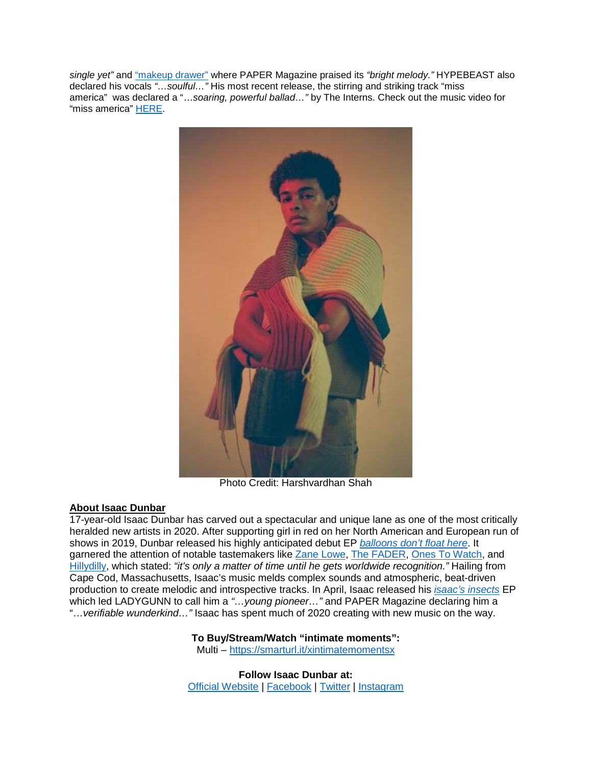*single yet"* and ["makeup drawer"](https://eur01.safelinks.protection.outlook.com/?url=https%3A%2F%2Fwww.youtube.com%2Fwatch%3Fv%3Dwg7SH4f4E-0%26feature%3Demb_logo&data=04%7C01%7Ckirsten.mikkelson%40rcarecords.com%7Ce391628a1eb34e6ea38108d89dee4f97%7Cf0aff3b791a54aaeaf71c63e1dda2049%7C0%7C0%7C637432994248459450%7CUnknown%7CTWFpbGZsb3d8eyJWIjoiMC4wLjAwMDAiLCJQIjoiV2luMzIiLCJBTiI6Ik1haWwiLCJXVCI6Mn0%3D%7C1000&sdata=f3HGPcCGoL4xSa1MoV7qfB8Udnc1YXxV8EpN390%2BJNk%3D&reserved=0) where PAPER Magazine praised its *"bright melody."* HYPEBEAST also declared his vocals *"…soulful…"* His most recent release, the stirring and striking track "miss america" was declared a "…*soaring, powerful ballad…"* by The Interns. Check out the music video for "miss america" [HERE.](https://eur01.safelinks.protection.outlook.com/?url=https%3A%2F%2Fsmarturl.it%2Fxmissamericax%2Fyoutube&data=04%7C01%7Ckirsten.mikkelson%40rcarecords.com%7Ce391628a1eb34e6ea38108d89dee4f97%7Cf0aff3b791a54aaeaf71c63e1dda2049%7C0%7C0%7C637432994248469447%7CUnknown%7CTWFpbGZsb3d8eyJWIjoiMC4wLjAwMDAiLCJQIjoiV2luMzIiLCJBTiI6Ik1haWwiLCJXVCI6Mn0%3D%7C1000&sdata=JWUz2clda6EifzIdCrt8grdF8CJU%2F9%2BxL5cQrawnu3Y%3D&reserved=0)



Photo Credit: Harshvardhan Shah

## **About Isaac Dunbar**

17-year-old Isaac Dunbar has carved out a spectacular and unique lane as one of the most critically heralded new artists in 2020. After supporting girl in red on her North American and European run of shows in 2019, Dunbar released his highly anticipated debut EP *[balloons don't float here](https://eur01.safelinks.protection.outlook.com/?url=https%3A%2F%2Fopen.spotify.com%2Falbum%2F4Qb82ieP4gzGzJiRnUNYyw&data=04%7C01%7Ckirsten.mikkelson%40rcarecords.com%7Ce391628a1eb34e6ea38108d89dee4f97%7Cf0aff3b791a54aaeaf71c63e1dda2049%7C0%7C0%7C637432994248479434%7CUnknown%7CTWFpbGZsb3d8eyJWIjoiMC4wLjAwMDAiLCJQIjoiV2luMzIiLCJBTiI6Ik1haWwiLCJXVCI6Mn0%3D%7C1000&sdata=F8moQUDZ1PcQscXoDf9CjnDpygWX7lLJ74kvEKCf%2BVw%3D&reserved=0)*. It garnered the attention of notable tastemakers like [Zane Lowe,](https://eur01.safelinks.protection.outlook.com/?url=https%3A%2F%2Fdangervillage-dot-yamm-track.appspot.com%2FRedirect%3Fukey%3D1B7pGFDZQkjtarqFF6Fi02gDolkSj5RA5oBMFOz0ooUA-373128585%26key%3DYAMMID-83810200%26link%3Dhttps%253A%252F%252Ftwitter.com%252Fzanelowe%252Fstatus%252F1110579216762822656&data=04%7C01%7Ckirsten.mikkelson%40rcarecords.com%7Ce391628a1eb34e6ea38108d89dee4f97%7Cf0aff3b791a54aaeaf71c63e1dda2049%7C0%7C0%7C637432994248479434%7CUnknown%7CTWFpbGZsb3d8eyJWIjoiMC4wLjAwMDAiLCJQIjoiV2luMzIiLCJBTiI6Ik1haWwiLCJXVCI6Mn0%3D%7C1000&sdata=umpZyeF97OW1Skx8iMbmf7otJACYOiKbBVNHu%2BBdo9g%3D&reserved=0) [The FADER,](https://eur01.safelinks.protection.outlook.com/?url=https%3A%2F%2Fdangervillage-dot-yamm-track.appspot.com%2FRedirect%3Fukey%3D1B7pGFDZQkjtarqFF6Fi02gDolkSj5RA5oBMFOz0ooUA-373128585%26key%3DYAMMID-83810200%26link%3Dhttps%253A%252F%252Fwww.thefader.com%252F2018%252F10%252F02%252Fisaac-dunbar-freshman-year-video&data=04%7C01%7Ckirsten.mikkelson%40rcarecords.com%7Ce391628a1eb34e6ea38108d89dee4f97%7Cf0aff3b791a54aaeaf71c63e1dda2049%7C0%7C0%7C637432994248489434%7CUnknown%7CTWFpbGZsb3d8eyJWIjoiMC4wLjAwMDAiLCJQIjoiV2luMzIiLCJBTiI6Ik1haWwiLCJXVCI6Mn0%3D%7C1000&sdata=nkcJNXEEZqQ5f8ZjvmkIBGGug17L7B%2B4OhlferEwmUU%3D&reserved=0) [Ones To Watch,](https://eur01.safelinks.protection.outlook.com/?url=https%3A%2F%2Fdangervillage-dot-yamm-track.appspot.com%2FRedirect%3Fukey%3D1B7pGFDZQkjtarqFF6Fi02gDolkSj5RA5oBMFOz0ooUA-373128585%26key%3DYAMMID-83810200%26link%3Dhttps%253A%252F%252Fwww.onestowatch.com%252Fblog%252Freminisce-on-high-school-relationships-with-isaac&data=04%7C01%7Ckirsten.mikkelson%40rcarecords.com%7Ce391628a1eb34e6ea38108d89dee4f97%7Cf0aff3b791a54aaeaf71c63e1dda2049%7C0%7C0%7C637432994248489434%7CUnknown%7CTWFpbGZsb3d8eyJWIjoiMC4wLjAwMDAiLCJQIjoiV2luMzIiLCJBTiI6Ik1haWwiLCJXVCI6Mn0%3D%7C1000&sdata=VJ3%2FHMvMIpjcC03%2B0nRPWmfdzQuRlcXTeCi1arOaVVQ%3D&reserved=0) and [Hillydilly,](https://eur01.safelinks.protection.outlook.com/?url=https%3A%2F%2Fwww.hillydilly.com%2F2019%2F05%2Fisaac-dunbar-cologne%2F&data=04%7C01%7Ckirsten.mikkelson%40rcarecords.com%7Ce391628a1eb34e6ea38108d89dee4f97%7Cf0aff3b791a54aaeaf71c63e1dda2049%7C0%7C0%7C637432994248499430%7CUnknown%7CTWFpbGZsb3d8eyJWIjoiMC4wLjAwMDAiLCJQIjoiV2luMzIiLCJBTiI6Ik1haWwiLCJXVCI6Mn0%3D%7C1000&sdata=K2n51X63V4MCqhkxCrCI1YHOogsINaF5h6ZZWFl4h1g%3D&reserved=0) which stated: *"it's only a matter of time until he gets worldwide recognition."* Hailing from Cape Cod, Massachusetts, Isaac's music melds complex sounds and atmospheric, beat-driven production to create melodic and introspective tracks. In April, Isaac released his *[isaac's insects](https://eur01.safelinks.protection.outlook.com/?url=https%3A%2F%2Fsmarturl.it%2FisaacsinsectsEPx&data=04%7C01%7Ckirsten.mikkelson%40rcarecords.com%7Ce391628a1eb34e6ea38108d89dee4f97%7Cf0aff3b791a54aaeaf71c63e1dda2049%7C0%7C0%7C637432994248509423%7CUnknown%7CTWFpbGZsb3d8eyJWIjoiMC4wLjAwMDAiLCJQIjoiV2luMzIiLCJBTiI6Ik1haWwiLCJXVCI6Mn0%3D%7C1000&sdata=LLSrWGNadq51qbRnFigAoyLwjY5YUW8A7B9%2FfmxQiSI%3D&reserved=0)* EP which led LADYGUNN to call him a *"…young pioneer…"* and PAPER Magazine declaring him a "…*verifiable wunderkind…"* Isaac has spent much of 2020 creating with new music on the way.

## **To Buy/Stream/Watch "intimate moments":**

Multi – [https://smarturl.it/xintimatemomentsx](https://eur01.safelinks.protection.outlook.com/?url=https%3A%2F%2Fsmarturl.it%2Fxintimatemomentsx&data=04%7C01%7Ckirsten.mikkelson%40rcarecords.com%7Ce391628a1eb34e6ea38108d89dee4f97%7Cf0aff3b791a54aaeaf71c63e1dda2049%7C0%7C0%7C637432994248509423%7CUnknown%7CTWFpbGZsb3d8eyJWIjoiMC4wLjAwMDAiLCJQIjoiV2luMzIiLCJBTiI6Ik1haWwiLCJXVCI6Mn0%3D%7C1000&sdata=y4ukF8DacFLomyVB5x3OhWlbkTb1c%2Bw6v11XUQO%2Byfw%3D&reserved=0)

**Follow Isaac Dunbar at:** [Official Website](https://eur01.safelinks.protection.outlook.com/?url=https%3A%2F%2Fwww.isaacdunbar.com%2F&data=04%7C01%7Ckirsten.mikkelson%40rcarecords.com%7Ce391628a1eb34e6ea38108d89dee4f97%7Cf0aff3b791a54aaeaf71c63e1dda2049%7C0%7C0%7C637432994248519416%7CUnknown%7CTWFpbGZsb3d8eyJWIjoiMC4wLjAwMDAiLCJQIjoiV2luMzIiLCJBTiI6Ik1haWwiLCJXVCI6Mn0%3D%7C1000&sdata=bzUd1hDvb4E1Bb3dCYkdPouF1TxlY38v6otd0zDx1p0%3D&reserved=0) | [Facebook](https://eur01.safelinks.protection.outlook.com/?url=https%3A%2F%2Fwww.facebook.com%2Fisaacdunbarofficial%2F&data=04%7C01%7Ckirsten.mikkelson%40rcarecords.com%7Ce391628a1eb34e6ea38108d89dee4f97%7Cf0aff3b791a54aaeaf71c63e1dda2049%7C0%7C0%7C637432994248519416%7CUnknown%7CTWFpbGZsb3d8eyJWIjoiMC4wLjAwMDAiLCJQIjoiV2luMzIiLCJBTiI6Ik1haWwiLCJXVCI6Mn0%3D%7C1000&sdata=JPpPCzAtaYMgpy8h%2FjpZ8ye2Y%2F8R0iXtR09f7BXHtR0%3D&reserved=0) | [Twitter](https://eur01.safelinks.protection.outlook.com/?url=https%3A%2F%2Ftwitter.com%2Fisaacdunbar&data=04%7C01%7Ckirsten.mikkelson%40rcarecords.com%7Ce391628a1eb34e6ea38108d89dee4f97%7Cf0aff3b791a54aaeaf71c63e1dda2049%7C0%7C0%7C637432994248529409%7CUnknown%7CTWFpbGZsb3d8eyJWIjoiMC4wLjAwMDAiLCJQIjoiV2luMzIiLCJBTiI6Ik1haWwiLCJXVCI6Mn0%3D%7C1000&sdata=Lm%2FFzUZIKDrAy%2BCMWaWCUc7uQkevKx6UxVJZFB0wTCI%3D&reserved=0) | [Instagram](https://eur01.safelinks.protection.outlook.com/?url=https%3A%2F%2Fwww.instagram.com%2Fisaacdunbar%2F%3Fhl%3Den&data=04%7C01%7Ckirsten.mikkelson%40rcarecords.com%7Ce391628a1eb34e6ea38108d89dee4f97%7Cf0aff3b791a54aaeaf71c63e1dda2049%7C0%7C0%7C637432994248529409%7CUnknown%7CTWFpbGZsb3d8eyJWIjoiMC4wLjAwMDAiLCJQIjoiV2luMzIiLCJBTiI6Ik1haWwiLCJXVCI6Mn0%3D%7C1000&sdata=nZJdN%2Ff87yUvQHSyf5RiHZ1rQ%2BvVABE3v1sEVLypde4%3D&reserved=0)